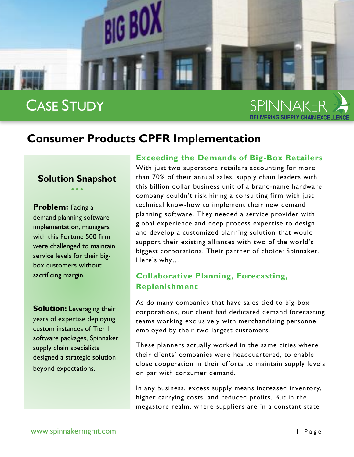

## CASE STUDY

# SPINNAKER

### **Consumer Products CPFR Implementation**

#### **Solution Snapshot**  $\bullet$   $\bullet$   $\bullet$

**Problem:** Facing a demand planning software implementation, managers with this Fortune 500 firm were challenged to maintain service levels for their bigbox customers without sacrificing margin.

**Solution:** Leveraging their years of expertise deploying custom instances of Tier 1 software packages, Spinnaker supply chain specialists designed a strategic solution beyond expectations.

#### **Exceeding the Demands of Big-Box Retailers**

With just two superstore retailers accounting for more than 70% of their annual sales, supply chain leaders with this billion dollar business unit of a brand-name hardware company couldn't risk hiring a consulting firm with just technical know-how to implement their new demand planning software. They needed a service provider with global experience and deep process expertise to design and develop a customized planning solution that would support their existing alliances with two of the world's biggest corporations. Their partner of choice: Spinnaker. Here's why…

#### **Collaborative Planning, Forecasting, Replenishment**

As do many companies that have sales tied to big-box corporations, our client had dedicated demand foreca sting teams working exclusively with merchandising personnel employed by their two largest customers.

These planners actually worked in the same cities where their clients' companies were headquartered, to enable close cooperation in their efforts to maintain supply levels on par with consumer demand.

In any business, excess supply means increased inventory, higher carrying costs, and reduced profits. But in the megastore realm, where suppliers are in a constant state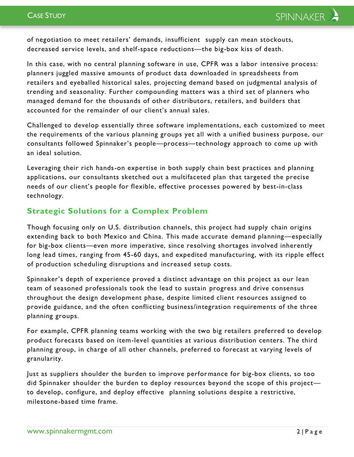of negotiation to meet retailers' demands, insufficient supply can mean stockouts, decreased service levels, and shelf-space reductions—the big-box kiss of death.

In this case, with no central planning software in use, CPFR was a labor intensive process: planners juggled massive amounts of product data downloaded in spreadsheets from retailers and eyeballed historical sales, projecting demand based on judgmental analysis of trending and seasonality. Further compounding matters was a third set of planners who managed demand for the thousands of other distributors, retailers, and builders that accounted for the remainder of our client's annual sales.

Challenged to develop essentially three software implementations, each customized to meet the requirements of the various planning groups yet all with a unified business purpose, our consultants followed Spinnaker's people—process—technology approach to come up with an ideal solution.

Leveraging their rich hands-on expertise in both supply chain best practices and planning applications, our consultants sketched out a multifaceted plan that targeted the precise needs of our client's people for flexible, effective processes powered by best-in-class technology.

#### **Strategic Solutions for a Complex Problem**

Though focusing only on U.S. distribution channels, this project had supply chain origins extending back to both Mexico and China. This made accurate demand planning—especially for big-box clients—even more imperative, since resolving shortages involved inherently long lead times, ranging from 45-60 days, and expedited manufacturing, with its ripple effect of production scheduling disruptions and increased setup costs.

Spinnaker's depth of experience proved a distinct advantage on this project as our lean team of seasoned professionals took the lead to sustain progress and drive consensus throughout the design development phase, despite limited client resources assigned to provide guidance, and the often conflicting business/integration requirements of the three planning groups.

For example, CPFR planning teams working with the two big retailers preferred to develop product forecasts based on item-level quantities at various distribution centers. The third planning group, in charge of all other channels, preferred to forecast at varying levels of granularity.

Just as suppliers shoulder the burden to improve performance for big-box clients, so too did Spinnaker shoulder the burden to deploy resources beyond the scope of this project to develop, configure, and deploy effective planning solutions despite a restrictive, milestone-based time frame.